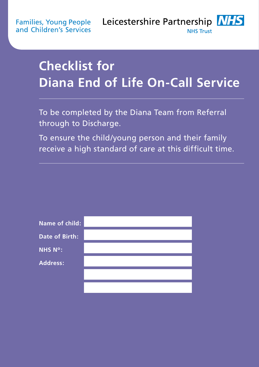**Families, Young People** and Children's Services

Leicestershire Partnership NHS **NHS Trust** 

# **Checklist for Diana End of Life On-Call Service**

To be completed by the Diana Team from Referral through to Discharge.

To ensure the child/young person and their family receive a high standard of care at this difficult time.

| <b>Name of child:</b> |  |
|-----------------------|--|
| <b>Date of Birth:</b> |  |
| <b>NHS N°:</b>        |  |
| <b>Address:</b>       |  |
|                       |  |
|                       |  |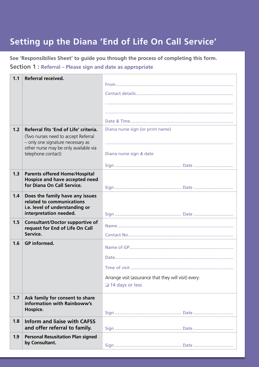## **Setting up the Diana 'End of Life On Call Service'**

**Section 1 : Referral – Please sign and date as appropriate See 'Responsibilies Sheet' to guide you through the process of completing this form.** 

| 1.1 | <b>Referral received.</b>                                                |                                                       |
|-----|--------------------------------------------------------------------------|-------------------------------------------------------|
|     |                                                                          |                                                       |
|     |                                                                          |                                                       |
|     |                                                                          |                                                       |
|     |                                                                          |                                                       |
|     |                                                                          |                                                       |
|     |                                                                          |                                                       |
| 1.2 | Referral fits 'End of Life' criteria.                                    | Diana nurse sign (or print name)                      |
|     | (Two nurses need to accept Referral<br>- only one signature necessary as |                                                       |
|     | other nurse may be only available via                                    |                                                       |
|     | telephone contact)                                                       | Diana nurse sign & date                               |
|     |                                                                          |                                                       |
| 1.3 | <b>Parents offered Home/Hospital</b>                                     |                                                       |
|     | Hospice and have accepted need                                           |                                                       |
|     | for Diana On Call Service.                                               |                                                       |
| 1.4 | Does the family have any issues                                          |                                                       |
|     | related to communications<br>i.e. level of understanding or              |                                                       |
|     | interpretation needed.                                                   |                                                       |
| 1.5 | <b>Consultant/Doctor supportive of</b>                                   |                                                       |
|     | request for End of Life On Call                                          |                                                       |
|     | Service.                                                                 |                                                       |
| 1.6 | <b>GP</b> informed.                                                      |                                                       |
|     |                                                                          |                                                       |
|     |                                                                          |                                                       |
|     |                                                                          | Time of visit                                         |
|     |                                                                          | Arrange visit (assurance that they will visit) every: |
|     |                                                                          | $\Box$ 14 days or less                                |
| 1.7 | Ask family for consent to share                                          |                                                       |
|     | information with Rainboww's                                              |                                                       |
|     | Hospice.                                                                 |                                                       |
| 1.8 | <b>Inform and liaise with CAFSS</b>                                      |                                                       |
|     | and offer referral to family.                                            |                                                       |
| 1.9 | <b>Personal Resusitation Plan signed</b>                                 |                                                       |
|     | by Consultant.                                                           |                                                       |
|     |                                                                          |                                                       |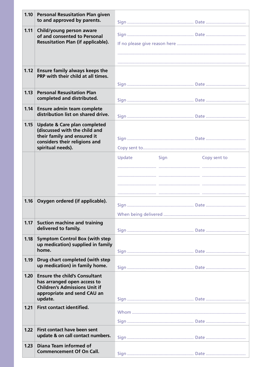| 1.10 | <b>Personal Resusitation Plan given</b><br>to and approved by parents.      |                                |  |  |
|------|-----------------------------------------------------------------------------|--------------------------------|--|--|
| 1.11 | Child/young person aware<br>of and consented to Personal                    |                                |  |  |
|      | <b>Resusitation Plan (if applicable).</b>                                   |                                |  |  |
|      |                                                                             |                                |  |  |
|      |                                                                             |                                |  |  |
| 1.12 | <b>Ensure family always keeps the</b><br>PRP with their child at all times. |                                |  |  |
|      |                                                                             |                                |  |  |
| 1.13 | <b>Personal Resusitation Plan</b><br>completed and distributed.             |                                |  |  |
| 1.14 | Ensure admin team complete                                                  |                                |  |  |
|      | distribution list on shared drive.                                          |                                |  |  |
| 1.15 | <b>Update &amp; Care plan completed</b><br>(discussed with the child and    |                                |  |  |
|      | their family and ensured it<br>considers their religions and                |                                |  |  |
|      | spiritual needs).                                                           |                                |  |  |
|      |                                                                             | Update<br>Sign<br>Copy sent to |  |  |
|      |                                                                             |                                |  |  |
|      |                                                                             |                                |  |  |
|      |                                                                             |                                |  |  |
| 1.16 | Oxygen ordered (if applicable).                                             |                                |  |  |
|      |                                                                             |                                |  |  |
|      |                                                                             |                                |  |  |
| 1.17 | <b>Suction machine and training</b><br>delivered to family.                 |                                |  |  |
| 1.18 | <b>Symptom Control Box (with step</b>                                       |                                |  |  |
|      | up medication) supplied in family<br>home.                                  |                                |  |  |
| 1.19 | Drug chart completed (with step                                             |                                |  |  |
|      | up medication) in family home.                                              |                                |  |  |
| 1.20 | <b>Ensure the child's Consultant</b>                                        |                                |  |  |
|      | has arranged open access to<br><b>Children's Admissions Unit if</b>         |                                |  |  |
|      | appropriate and send CAU an<br>update.                                      |                                |  |  |
| 1.21 | <b>First contact identified.</b>                                            |                                |  |  |
|      |                                                                             |                                |  |  |
| 1.22 | First contact have been sent                                                |                                |  |  |
|      | update & on call contact numbers.                                           |                                |  |  |
| 1.23 | Diana Team informed of                                                      |                                |  |  |
|      | <b>Commencement Of On Call.</b>                                             |                                |  |  |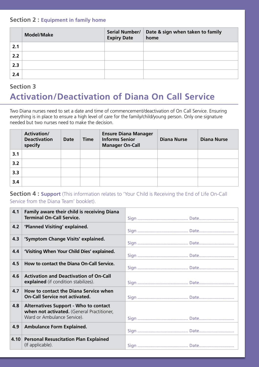#### **Section 2 : Equipment in family home**

|     | <b>Model/Make</b> | <b>Serial Number/</b><br><b>Expiry Date</b> | Date & sign when taken to family<br>home |
|-----|-------------------|---------------------------------------------|------------------------------------------|
| 2.1 |                   |                                             |                                          |
| 2.2 |                   |                                             |                                          |
| 2.3 |                   |                                             |                                          |
| 2.4 |                   |                                             |                                          |

## **Activation/Deactivation of Diana On Call Service Section 3**

Two Diana nurses need to set a date and time of commencement/deactivation of On Call Service. Ensuring everything is in place to ensure a high level of care for the family/child/young person. Only one signature needed but two nurses need to make the decision.

|     | <b>Activation/</b><br><b>Deactivation</b><br>specify | <b>Date</b> | <b>Time</b> | <b>Ensure Diana Manager</b><br><b>Informs Senior</b><br><b>Manager On-Call</b> | <b>Diana Nurse</b> | <b>Diana Nurse</b> |
|-----|------------------------------------------------------|-------------|-------------|--------------------------------------------------------------------------------|--------------------|--------------------|
| 3.1 |                                                      |             |             |                                                                                |                    |                    |
| 3.2 |                                                      |             |             |                                                                                |                    |                    |
| 3.3 |                                                      |             |             |                                                                                |                    |                    |
| 3.4 |                                                      |             |             |                                                                                |                    |                    |

#### **Section 4 : Support** (This information relates to 'Your Child is Receiving the End of Life On-Call Service from the Diana Team' booklet).

| 4.1  | <b>Family aware their child is receiving Diana</b><br><b>Terminal On-Call Service.</b>                                    |  |
|------|---------------------------------------------------------------------------------------------------------------------------|--|
| 4.2  | 'Planned Visiting' explained.                                                                                             |  |
| 4.3  | 'Symptom Change Visits' explained.                                                                                        |  |
| 4.4  | 'Visiting When Your Child Dies' explained.                                                                                |  |
| 4.5  | How to contact the Diana On-Call Service.                                                                                 |  |
| 4.6  | <b>Activation and Deactivation of On-Call</b><br><b>explained</b> (if condition stabilizes).                              |  |
| 4.7  | How to contact the Diana Service when<br><b>On-Call Service not activated.</b>                                            |  |
| 4.8  | <b>Alternatives Support - Who to contact</b><br>when not activated. (General Practitioner,<br>Ward or Ambulance Service). |  |
| 4.9  | <b>Ambulance Form Explained.</b>                                                                                          |  |
| 4.10 | <b>Personal Resuscitation Plan Explained</b><br>(If applicable).                                                          |  |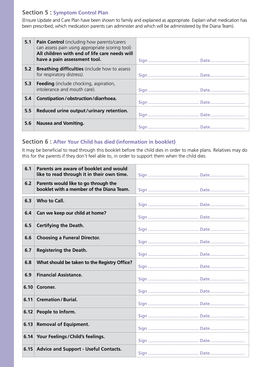#### **Section 5 : Symptom Control Plan**

(Ensure Update and Care Plan have been shown to family and explained as appropriate. Explain what medication has been prescribed, which medication parents can administer and which will be administered by the Diana Team).

| 5.1 | <b>Pain Control</b> (including how parents/carers<br>can assess pain using appropriate scoring tool)<br>All children with end of life care needs will<br>have a pain assessment tool. |  |
|-----|---------------------------------------------------------------------------------------------------------------------------------------------------------------------------------------|--|
| 5.2 | <b>Breathing difficulties</b> (include how to assess<br>for respiratory distress).                                                                                                    |  |
| 5.3 | <b>Feeding</b> (include chocking, aspiration,<br>intolerance and mouth care).                                                                                                         |  |
| 5.4 | Constipation / obstruction / diarrhoea.                                                                                                                                               |  |
| 5.5 | Reduced urine output/urinary retention.                                                                                                                                               |  |
| 5.6 | <b>Nausea and Vomiting.</b>                                                                                                                                                           |  |

#### **Section 6 : After Your Child has died (information in booklet)**

It may be beneficial to read through this booklet before the child dies in order to make plans. Relatives may do this for the parents if they don't feel able to, in order to support them when the child dies.

| 6.1  | Parents are aware of booklet and would<br>like to read through it in their own time. |  |
|------|--------------------------------------------------------------------------------------|--|
| 6.2  | Parents would like to go through the<br>booklet with a member of the Diana Team.     |  |
| 6.3  | Who to Call.                                                                         |  |
| 6.4  | Can we keep our child at home?                                                       |  |
| 6.5  | <b>Certifying the Death.</b>                                                         |  |
| 6.6  | <b>Choosing a Funeral Director.</b>                                                  |  |
| 6.7  | <b>Registering the Death.</b>                                                        |  |
| 6.8  | What should be taken to the Registry Office?                                         |  |
| 6.9  | <b>Financial Assistance.</b>                                                         |  |
| 6.10 | Coroner.                                                                             |  |
| 6.11 | <b>Cremation / Burial.</b>                                                           |  |
| 6.12 | People to Inform.                                                                    |  |
| 6.13 | <b>Removal of Equipment.</b>                                                         |  |
| 6.14 | Your Feelings / Child's feelings.                                                    |  |
|      | 6.15 Advice and Support - Useful Contacts.                                           |  |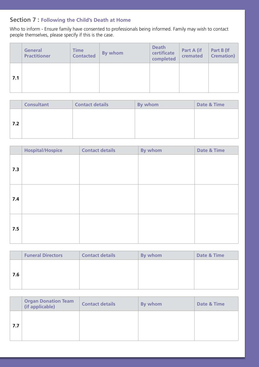### **Section 7 : Following the Child's Death at Home**

Who to inform - Ensure family have consented to professionals being informed. Family may wish to contact people themselves, please specify if this is the case.

|     | <b>General</b><br><b>Practitioner</b> | <b>Time</b><br><b>Contacted</b> | By whom | <b>Death</b><br>certificate<br>completed | Part A (if<br>cremated | Part B (If<br><b>Cremation</b> ) |
|-----|---------------------------------------|---------------------------------|---------|------------------------------------------|------------------------|----------------------------------|
| 7.1 |                                       |                                 |         |                                          |                        |                                  |

|     | <b>Consultant</b> | <b>Contact details</b> | By whom | <b>Date &amp; Time</b> |
|-----|-------------------|------------------------|---------|------------------------|
|     |                   |                        |         |                        |
| 7.2 |                   |                        |         |                        |
|     |                   |                        |         |                        |
|     |                   |                        |         |                        |

|     | <b>Hospital/Hospice</b> | <b>Contact details</b> | By whom | <b>Date &amp; Time</b> |
|-----|-------------------------|------------------------|---------|------------------------|
| 7.3 |                         |                        |         |                        |
| 7.4 |                         |                        |         |                        |
| 7.5 |                         |                        |         |                        |

|     | <b>Funeral Directors</b> | <b>Contact details</b> | By whom | Date & Time |
|-----|--------------------------|------------------------|---------|-------------|
|     |                          |                        |         |             |
| 7.6 |                          |                        |         |             |
|     |                          |                        |         |             |

|     | <b>Organ Donation Team</b><br>(if applicable) | <b>Contact details</b> | By whom | Date & Time |
|-----|-----------------------------------------------|------------------------|---------|-------------|
| 7.7 |                                               |                        |         |             |
|     |                                               |                        |         |             |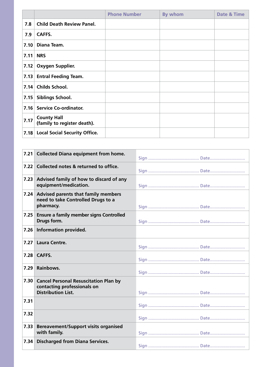|      |                                                   | <b>Phone Number</b> | By whom | <b>Date &amp; Time</b> |
|------|---------------------------------------------------|---------------------|---------|------------------------|
| 7.8  | <b>Child Death Review Panel.</b>                  |                     |         |                        |
| 7.9  | <b>CAFFS.</b>                                     |                     |         |                        |
| 7.10 | Diana Team.                                       |                     |         |                        |
| 7.11 | <b>NRS</b>                                        |                     |         |                        |
| 7.12 | Oxygen Supplier.                                  |                     |         |                        |
| 7.13 | <b>Entral Feeding Team.</b>                       |                     |         |                        |
| 7.14 | <b>Childs School.</b>                             |                     |         |                        |
| 7.15 | Siblings School.                                  |                     |         |                        |
| 7.16 | <b>Service Co-ordinator.</b>                      |                     |         |                        |
| 7.17 | <b>County Hall</b><br>(family to register death). |                     |         |                        |
| 7.18 | <b>Local Social Security Office.</b>              |                     |         |                        |

| 7.21 | <b>Collected Diana equipment from home.</b>                                                              |  |
|------|----------------------------------------------------------------------------------------------------------|--|
| 7.22 | Collected notes & returned to office.                                                                    |  |
| 7.23 | Advised family of how to discard of any<br>equipment/medication.                                         |  |
| 7.24 | <b>Advised parents that family members</b><br>need to take Controlled Drugs to a<br>pharmacy.            |  |
| 7.25 | <b>Ensure a family member signs Controlled</b><br>Drugs form.                                            |  |
| 7.26 | <b>Information provided.</b>                                                                             |  |
| 7.27 | <b>Laura Centre.</b>                                                                                     |  |
| 7.28 | CAFFS.                                                                                                   |  |
| 7.29 | Rainbows.                                                                                                |  |
| 7.30 | <b>Cancel Personal Resuscitation Plan by</b><br>contacting professionals on<br><b>Distribution List.</b> |  |
| 7.31 |                                                                                                          |  |
| 7.32 |                                                                                                          |  |
| 7.33 | <b>Bereavement/Support visits organised</b><br>with family.                                              |  |
| 7.34 | <b>Discharged from Diana Services.</b>                                                                   |  |